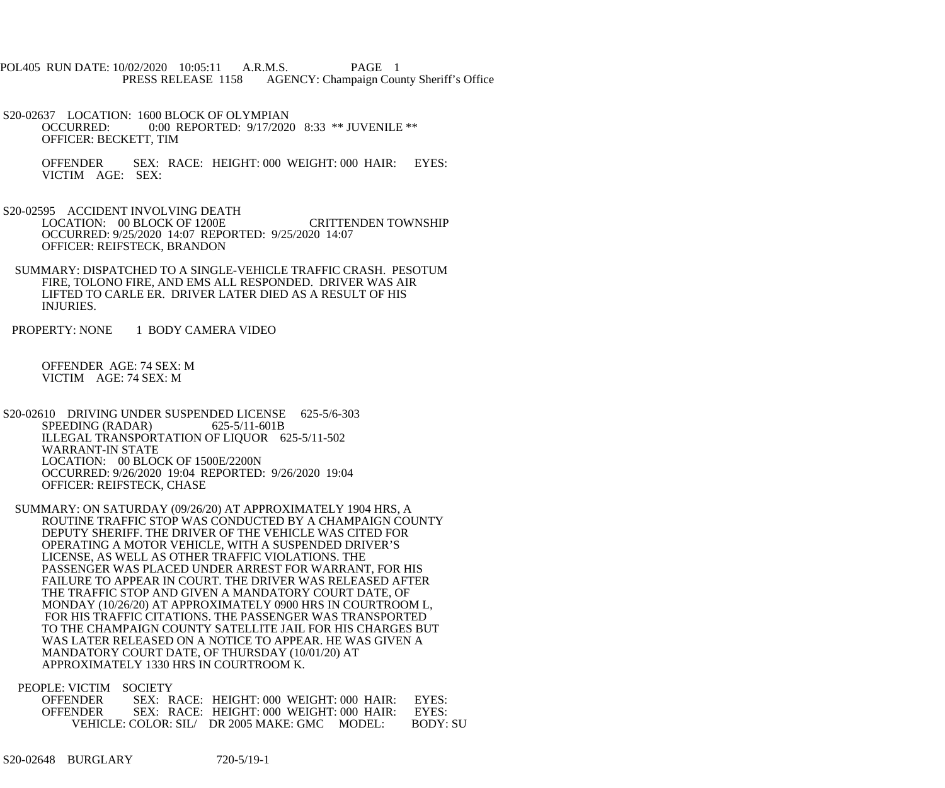POL405 RUN DATE: 10/02/2020 10:05:11 A.R.M.S. PAGE 1<br>PRESS RELEASE 1158 AGENCY: Champaign Cou AGENCY: Champaign County Sheriff's Office

S20-02637 LOCATION: 1600 BLOCK OF OLYMPIAN<br>OCCURRED: 0:00 REPORTED: 9/17/202 0:00 REPORTED: 9/17/2020 8:33 \*\* JUVENILE \*\* OFFICER: BECKETT, TIM

 OFFENDER SEX: RACE: HEIGHT: 000 WEIGHT: 000 HAIR: EYES: VICTIM AGE: SEX:

 S20-02595 ACCIDENT INVOLVING DEATH LOCATION: 00 BLOCK OF 1200E CRITTENDEN TOWNSHIP OCCURRED: 9/25/2020 14:07 REPORTED: 9/25/2020 14:07 OFFICER: REIFSTECK, BRANDON

 SUMMARY: DISPATCHED TO A SINGLE-VEHICLE TRAFFIC CRASH. PESOTUM FIRE, TOLONO FIRE, AND EMS ALL RESPONDED. DRIVER WAS AIR LIFTED TO CARLE ER. DRIVER LATER DIED AS A RESULT OF HIS INJURIES.

PROPERTY: NONE 1 BODY CAMERA VIDEO

 OFFENDER AGE: 74 SEX: M VICTIM AGE: 74 SEX: M

S20-02610 DRIVING UNDER SUSPENDED LICENSE 625-5/6-303<br>SPEEDING (RADAR) 625-5/11-601B SPEEDING (RADAR) ILLEGAL TRANSPORTATION OF LIQUOR 625-5/11-502 WARRANT-IN STATE LOCATION: 00 BLOCK OF 1500E/2200N OCCURRED: 9/26/2020 19:04 REPORTED: 9/26/2020 19:04 OFFICER: REIFSTECK, CHASE

 SUMMARY: ON SATURDAY (09/26/20) AT APPROXIMATELY 1904 HRS, A ROUTINE TRAFFIC STOP WAS CONDUCTED BY A CHAMPAIGN COUNTY DEPUTY SHERIFF. THE DRIVER OF THE VEHICLE WAS CITED FOR OPERATING A MOTOR VEHICLE, WITH A SUSPENDED DRIVER'S LICENSE, AS WELL AS OTHER TRAFFIC VIOLATIONS. THE PASSENGER WAS PLACED UNDER ARREST FOR WARRANT, FOR HIS FAILURE TO APPEAR IN COURT. THE DRIVER WAS RELEASED AFTER THE TRAFFIC STOP AND GIVEN A MANDATORY COURT DATE, OF MONDAY (10/26/20) AT APPROXIMATELY 0900 HRS IN COURTROOM L, FOR HIS TRAFFIC CITATIONS. THE PASSENGER WAS TRANSPORTED TO THE CHAMPAIGN COUNTY SATELLITE JAIL FOR HIS CHARGES BUT WAS LATER RELEASED ON A NOTICE TO APPEAR. HE WAS GIVEN A MANDATORY COURT DATE, OF THURSDAY (10/01/20) AT APPROXIMATELY 1330 HRS IN COURTROOM K.

PEOPLE: VICTIM SOCIETY

| <b>OFFENDER</b> |  | SEX: RACE: HEIGHT: 000 WEIGHT: 000 HAIR:                  |  | EYES:    |
|-----------------|--|-----------------------------------------------------------|--|----------|
| <b>OFFENDER</b> |  | SEX: RACE: HEIGHT: 000 WEIGHT: 000 HAIR:                  |  | EYES     |
|                 |  | $VEHICLE: COLOR: SH \rightarrow PR$ 2005 MAKE: GMC MODEL: |  | RODY: SI |